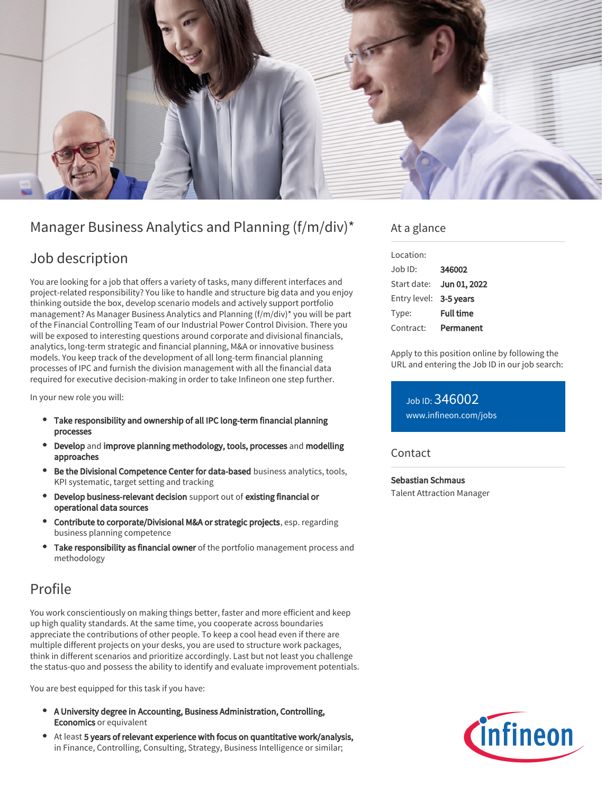

# Manager Business Analytics and Planning (f/m/div)\*

## Job description

You are looking for a job that offers a variety of tasks, many different interfaces and project-related responsibility? You like to handle and structure big data and you enjoy thinking outside the box, develop scenario models and actively support portfolio management? As Manager Business Analytics and Planning (f/m/div)\* you will be part of the Financial Controlling Team of our Industrial Power Control Division. There you will be exposed to interesting questions around corporate and divisional financials, analytics, long-term strategic and financial planning, M&A or innovative business models. You keep track of the development of all long-term financial planning processes of IPC and furnish the division management with all the financial data required for executive decision-making in order to take Infineon one step further.

In your new role you will:

- Take responsibility and ownership of all IPC long-term financial planning processes
- Develop and improve planning methodology, tools, processes and modelling approaches
- Be the Divisional Competence Center for data-based business analytics, tools, KPI systematic, target setting and tracking
- Develop business-relevant decision support out of existing financial or operational data sources
- Contribute to corporate/Divisional M&A or strategic projects, esp. regarding business planning competence
- Take responsibility as financial owner of the portfolio management process and methodology

## Profile

You work conscientiously on making things better, faster and more efficient and keep up high quality standards. At the same time, you cooperate across boundaries appreciate the contributions of other people. To keep a cool head even if there are multiple different projects on your desks, you are used to structure work packages, think in different scenarios and prioritize accordingly. Last but not least you challenge the status-quo and possess the ability to identify and evaluate improvement potentials.

You are best equipped for this task if you have:

- A University degree in Accounting, Business Administration, Controlling, Economics or equivalent
- At least 5 years of relevant experience with focus on quantitative work/analysis, in Finance, Controlling, Consulting, Strategy, Business Intelligence or similar;

### At a glance

| Location:              |                          |
|------------------------|--------------------------|
| Job ID:                | 346002                   |
|                        | Start date: Jun 01, 2022 |
| Entry level: 3-5 years |                          |
| Type:                  | <b>Full time</b>         |
| Contract:              | Permanent                |

Apply to this position online by following the URL and entering the Job ID in our job search:

Job ID: 346002 [www.infineon.com/jobs](https://www.infineon.com/jobs)

### **Contact**

Sebastian Schmaus Talent Attraction Manager